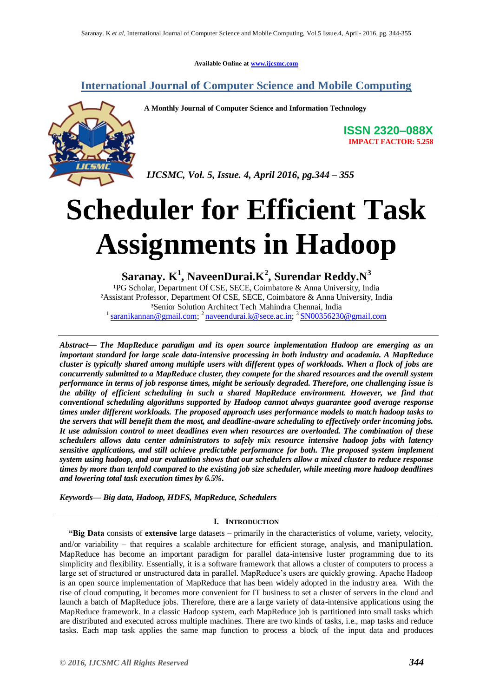**Available Online at [www.ijcsmc.com](http://www.ijcsmc.com/)**

# **International Journal of Computer Science and Mobile Computing**



**A Monthly Journal of Computer Science and Information Technology**

**ISSN 2320–088X IMPACT FACTOR: 5.258**

*IJCSMC, Vol. 5, Issue. 4, April 2016, pg.344 – 355*

# **Scheduler for Efficient Task Assignments in Hadoop**

# **Saranay. K<sup>1</sup> , NaveenDurai.K<sup>2</sup> , Surendar Reddy.N<sup>3</sup>**

<sup>1</sup>PG Scholar, Department Of CSE, SECE, Coimbatore & Anna University, India ²Assistant Professor, Department Of CSE, SECE, Coimbatore & Anna University, India ³Senior Solution Architect Tech Mahindra Chennai, India <sup>1</sup> [saranikannan@gmail.com;](mailto:saranikannan@gmail.com)<sup>2</sup> [naveendurai.k@sece.ac.in;](mailto:naveendurai.k@sece.ac.in)<sup>3</sup> [SN00356230@gmail.com](mailto:SN00356230@gmail.com)

*Abstract— The MapReduce paradigm and its open source implementation Hadoop are emerging as an important standard for large scale data-intensive processing in both industry and academia. A MapReduce cluster is typically shared among multiple users with different types of workloads. When a flock of jobs are concurrently submitted to a MapReduce cluster, they compete for the shared resources and the overall system performance in terms of job response times, might be seriously degraded. Therefore, one challenging issue is the ability of efficient scheduling in such a shared MapReduce environment. However, we find that conventional scheduling algorithms supported by Hadoop cannot always guarantee good average response times under different workloads. The proposed approach uses performance models to match hadoop tasks to the servers that will benefit them the most, and deadline-aware scheduling to effectively order incoming jobs. It use admission control to meet deadlines even when resources are overloaded. The combination of these schedulers allows data center administrators to safely mix resource intensive hadoop jobs with latency sensitive applications, and still achieve predictable performance for both. The proposed system implement system using hadoop, and our evaluation shows that our schedulers allow a mixed cluster to reduce response times by more than tenfold compared to the existing job size scheduler, while meeting more hadoop deadlines and lowering total task execution times by 6.5%.*

*Keywords— Big data, Hadoop, HDFS, MapReduce, Schedulers*

# **I. INTRODUCTION**

**"Big Data** consists of **extensive** large datasets – primarily in the characteristics of volume, variety, velocity, and/or variability – that requires a scalable architecture for efficient storage, analysis, and manipulation. MapReduce has become an important paradigm for parallel data-intensive luster programming due to its simplicity and flexibility. Essentially, it is a software framework that allows a cluster of computers to process a large set of structured or unstructured data in parallel. MapReduce's users are quickly growing. Apache Hadoop is an open source implementation of MapReduce that has been widely adopted in the industry area. With the rise of cloud computing, it becomes more convenient for IT business to set a cluster of servers in the cloud and launch a batch of MapReduce jobs. Therefore, there are a large variety of data-intensive applications using the MapReduce framework. In a classic Hadoop system, each MapReduce job is partitioned into small tasks which are distributed and executed across multiple machines. There are two kinds of tasks, i.e., map tasks and reduce tasks. Each map task applies the same map function to process a block of the input data and produces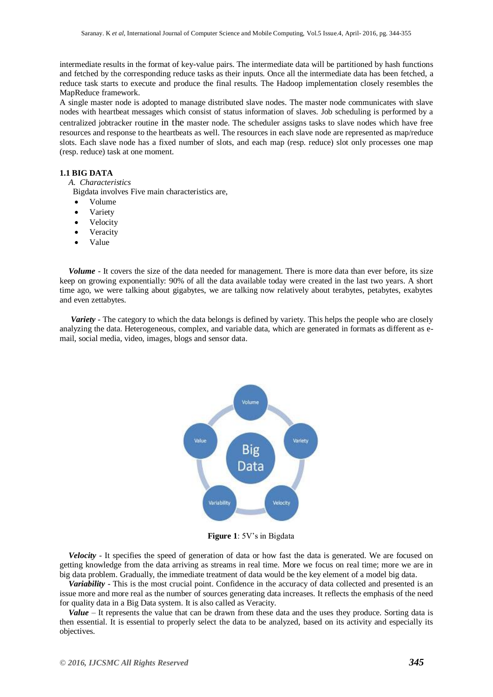intermediate results in the format of key-value pairs. The intermediate data will be partitioned by hash functions and fetched by the corresponding reduce tasks as their inputs. Once all the intermediate data has been fetched, a reduce task starts to execute and produce the final results. The Hadoop implementation closely resembles the MapReduce framework.

A single master node is adopted to manage distributed slave nodes. The master node communicates with slave nodes with heartbeat messages which consist of status information of slaves. Job scheduling is performed by a centralized jobtracker routine in the master node. The scheduler assigns tasks to slave nodes which have free resources and response to the heartbeats as well. The resources in each slave node are represented as map/reduce slots. Each slave node has a fixed number of slots, and each map (resp. reduce) slot only processes one map (resp. reduce) task at one moment.

#### **1.1 BIG DATA**

*A. Characteristics*

Bigdata involves Five main characteristics are,

- Volume
- Variety
- Velocity
- Veracity
- Value

*Volume* - It covers the size of the data needed for management. There is more data than ever before, its size keep on growing exponentially: 90% of all the data available today were created in the last two years. A short time ago, we were talking about gigabytes, we are talking now relatively about terabytes, petabytes, exabytes and even zettabytes.

*Variety* - The category to which the data belongs is defined by variety. This helps the people who are closely analyzing the data. Heterogeneous, complex, and variable data, which are generated in formats as different as email, social media, video, images, blogs and sensor data.



**Figure 1**: 5V's in Bigdata

*Velocity* - It specifies the speed of generation of data or how fast the data is generated. We are focused on getting knowledge from the data arriving as streams in real time. More we focus on real time; more we are in big data problem. Gradually, the immediate treatment of data would be the key element of a model big data.

*Variability* - This is the most crucial point. Confidence in the accuracy of data collected and presented is an issue more and more real as the number of sources generating data increases. It reflects the emphasis of the need for quality data in a Big Data system. It is also called as Veracity.

*Value* – It represents the value that can be drawn from these data and the uses they produce. Sorting data is then essential. It is essential to properly select the data to be analyzed, based on its activity and especially its objectives.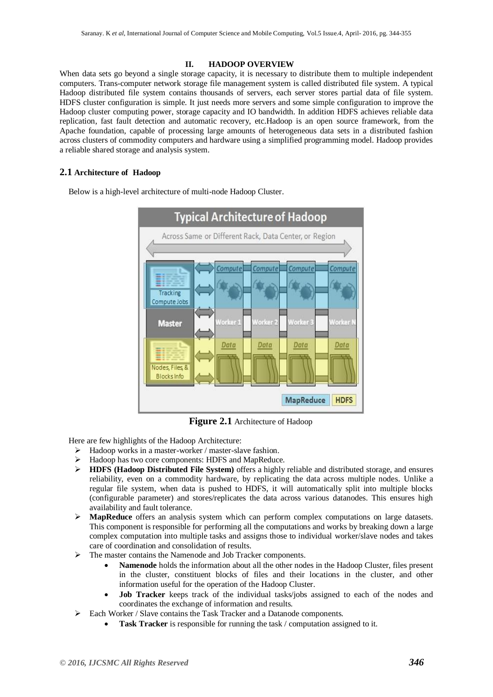#### **II. HADOOP OVERVIEW**

When data sets go beyond a single storage capacity, it is necessary to distribute them to multiple independent computers. Trans-computer network storage file management system is called distributed file system. A typical Hadoop distributed file system contains thousands of servers, each server stores partial data of file system. HDFS cluster configuration is simple. It just needs more servers and some simple configuration to improve the Hadoop cluster computing power, storage capacity and IO bandwidth. In addition HDFS achieves reliable data replication, fast fault detection and automatic recovery, etc.Hadoop is an open source framework, from the Apache foundation, capable of processing large amounts of heterogeneous data sets in a distributed fashion across clusters of commodity computers and hardware using a simplified programming model. Hadoop provides a reliable shared storage and analysis system.

# **2.1 Architecture of Hadoop**

Below is a high-level architecture of multi-node Hadoop Cluster.



**Figure 2.1** Architecture of Hadoop

Here are few highlights of the Hadoop Architecture:

- $\triangleright$  Hadoop works in a master-worker / master-slave fashion.
- $\triangleright$  Hadoop has two core components: HDFS and MapReduce.
- **HDFS (Hadoop Distributed File System)** offers a highly reliable and distributed storage, and ensures reliability, even on a commodity hardware, by replicating the data across multiple nodes. Unlike a regular file system, when data is pushed to HDFS, it will automatically split into multiple blocks (configurable parameter) and stores/replicates the data across various datanodes. This ensures high availability and fault tolerance.
- **MapReduce** offers an analysis system which can perform complex computations on large datasets. This component is responsible for performing all the computations and works by breaking down a large complex computation into multiple tasks and assigns those to individual worker/slave nodes and takes care of coordination and consolidation of results.
- The master contains the Namenode and Job Tracker components.
	- **Namenode** holds the information about all the other nodes in the Hadoop Cluster, files present in the cluster, constituent blocks of files and their locations in the cluster, and other information useful for the operation of the Hadoop Cluster.
	- **Job Tracker** keeps track of the individual tasks/jobs assigned to each of the nodes and coordinates the exchange of information and results.
- Each Worker / Slave contains the Task Tracker and a Datanode components.
	- **Task Tracker** is responsible for running the task / computation assigned to it.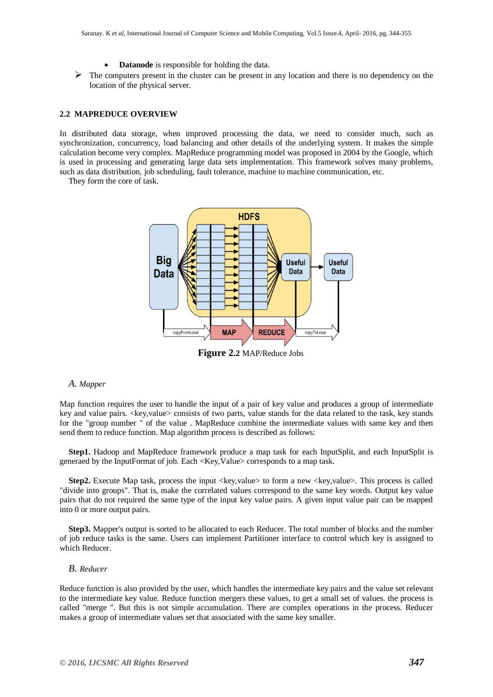- **Datanode** is responsible for holding the data.
- $\triangleright$  The computers present in the cluster can be present in any location and there is no dependency on the location of the physical server.

## **2.2 MAPREDUCE OVERVIEW**

In distributed data storage, when improved processing the data, we need to consider much, such as synchronization, concurrency, load balancing and other details of the underlying system. It makes the simple calculation become very complex. MapReduce programming model was proposed in 2004 by the Google, which is used in processing and generating large data sets implementation. This framework solves many problems, such as data distribution, job scheduling, fault tolerance, machine to machine communication, etc.

They form the core of task.



**Figure 2.2** MAP/Reduce Jobs

#### *A. Mapper*

Map function requires the user to handle the input of a pair of key value and produces a group of intermediate key and value pairs. < key, value > consists of two parts, value stands for the data related to the task, key stands for the "group number " of the value . MapReduce combine the intermediate values with same key and then send them to reduce function. Map algorithm process is described as follows:

**Step1.** Hadoop and MapReduce framework produce a map task for each InputSplit, and each InputSplit is generaed by the InputFormat of job. Each <Key,Value> corresponds to a map task.

**Step2.** Execute Map task, process the input <key,value> to form a new <key,value>. This process is called "divide into groups". That is, make the correlated values correspond to the same key words. Output key value pairs that do not required the same type of the input key value pairs. A given input value pair can be mapped into 0 or more output pairs.

**Step3.** Mapper's output is sorted to be allocated to each Reducer. The total number of blocks and the number of job reduce tasks is the same. Users can implement Partitioner interface to control which key is assigned to which Reducer.

#### *B. Reducer*

Reduce function is also provided by the user, which handles the intermediate key pairs and the value set relevant to the intermediate key value. Reduce function mergers these values, to get a small set of values. the process is called "merge ". But this is not simple accumulation. There are complex operations in the process. Reducer makes a group of intermediate values set that associated with the same key smaller.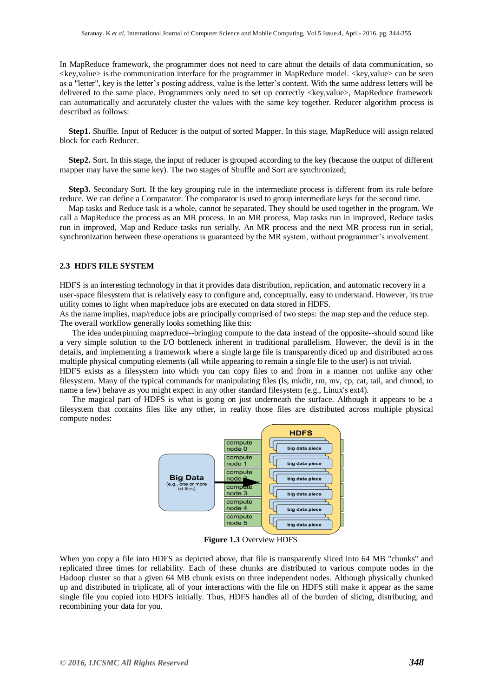In MapReduce framework, the programmer does not need to care about the details of data communication, so  $\langle$ key,value $\rangle$  is the communication interface for the programmer in MapReduce model.  $\langle$ key,value $\rangle$  can be seen as a "letter", key is the letter's posting address, value is the letter's content. With the same address letters will be delivered to the same place. Programmers only need to set up correctly <key,value>, MapReduce framework can automatically and accurately cluster the values with the same key together. Reducer algorithm process is described as follows:

**Step1.** Shuffle. Input of Reducer is the output of sorted Mapper. In this stage, MapReduce will assign related block for each Reducer.

**Step2.** Sort. In this stage, the input of reducer is grouped according to the key (because the output of different mapper may have the same key). The two stages of Shuffle and Sort are synchronized;

**Step3.** Secondary Sort. If the key grouping rule in the intermediate process is different from its rule before reduce. We can define a Comparator. The comparator is used to group intermediate keys for the second time.

Map tasks and Reduce task is a whole, cannot be separated. They should be used together in the program. We call a MapReduce the process as an MR process. In an MR process, Map tasks run in improved, Reduce tasks run in improved, Map and Reduce tasks run serially. An MR process and the next MR process run in serial, synchronization between these operations is guaranteed by the MR system, without programmer's involvement.

#### **2.3 HDFS FILE SYSTEM**

HDFS is an interesting technology in that it provides data distribution, replication, and automatic recovery in a user-space filesystem that is relatively easy to configure and, conceptually, easy to understand. However, its true utility comes to light when map/reduce jobs are executed on data stored in HDFS.

As the name implies, map/reduce jobs are principally comprised of two steps: the map step and the reduce step. The overall workflow generally looks something like this:

 The idea underpinning map/reduce--bringing compute to the data instead of the opposite--should sound like a very simple solution to the I/O bottleneck inherent in traditional parallelism. However, the devil is in the details, and implementing a framework where a single large file is transparently diced up and distributed across multiple physical computing elements (all while appearing to remain a single file to the user) is not trivial.

HDFS exists as a filesystem into which you can copy files to and from in a manner not unlike any other filesystem. Many of the typical commands for manipulating files (ls, mkdir, rm, mv, cp, cat, tail, and chmod, to name a few) behave as you might expect in any other standard filesystem (e.g., Linux's ext4).

 The magical part of HDFS is what is going on just underneath the surface. Although it appears to be a filesystem that contains files like any other, in reality those files are distributed across multiple physical compute nodes:



**Figure 1.3** Overview HDFS

When you copy a file into HDFS as depicted above, that file is transparently sliced into 64 MB "chunks" and replicated three times for reliability. Each of these chunks are distributed to various compute nodes in the Hadoop cluster so that a given 64 MB chunk exists on three independent nodes. Although physically chunked up and distributed in triplicate, all of your interactions with the file on HDFS still make it appear as the same single file you copied into HDFS initially. Thus, HDFS handles all of the burden of slicing, distributing, and recombining your data for you.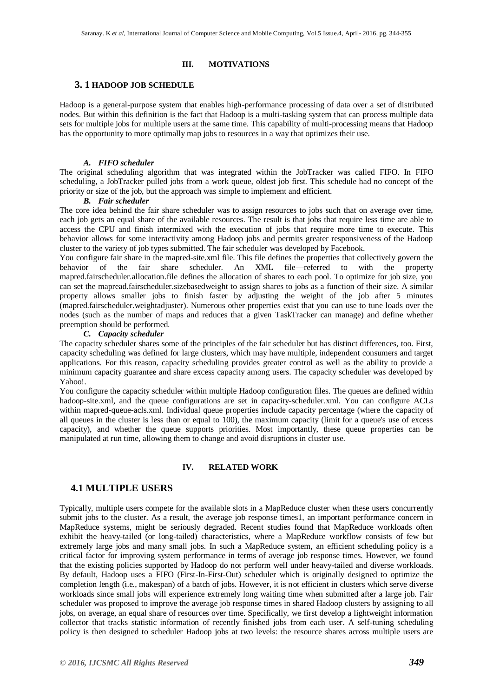#### **III. MOTIVATIONS**

#### **3. 1 HADOOP JOB SCHEDULE**

Hadoop is a general-purpose system that enables high-performance processing of data over a set of distributed nodes. But within this definition is the fact that Hadoop is a multi-tasking system that can process multiple data sets for multiple jobs for multiple users at the same time. This capability of multi-processing means that Hadoop has the opportunity to more optimally map jobs to resources in a way that optimizes their use.

#### *A. FIFO scheduler*

The original scheduling algorithm that was integrated within the JobTracker was called FIFO. In FIFO scheduling, a JobTracker pulled jobs from a work queue, oldest job first. This schedule had no concept of the priority or size of the job, but the approach was simple to implement and efficient.

#### *B. Fair scheduler*

The core idea behind the fair share scheduler was to assign resources to jobs such that on average over time, each job gets an equal share of the available resources. The result is that jobs that require less time are able to access the CPU and finish intermixed with the execution of jobs that require more time to execute. This behavior allows for some interactivity among Hadoop jobs and permits greater responsiveness of the Hadoop cluster to the variety of job types submitted. The fair scheduler was developed by Facebook.

You configure fair share in the mapred-site.xml file. This file defines the properties that collectively govern the behavior of the fair share scheduler. An XML file—referred to with the property mapred.fairscheduler.allocation.file defines the allocation of shares to each pool. To optimize for job size, you can set the mapread.fairscheduler.sizebasedweight to assign shares to jobs as a function of their size. A similar property allows smaller jobs to finish faster by adjusting the weight of the job after 5 minutes (mapred.fairscheduler.weightadjuster). Numerous other properties exist that you can use to tune loads over the nodes (such as the number of maps and reduces that a given TaskTracker can manage) and define whether preemption should be performed.

#### *C. Capacity scheduler*

The capacity scheduler shares some of the principles of the fair scheduler but has distinct differences, too. First, capacity scheduling was defined for large clusters, which may have multiple, independent consumers and target applications. For this reason, capacity scheduling provides greater control as well as the ability to provide a minimum capacity guarantee and share excess capacity among users. The capacity scheduler was developed by Yahoo!.

You configure the capacity scheduler within multiple Hadoop configuration files. The queues are defined within hadoop-site.xml, and the queue configurations are set in capacity-scheduler.xml. You can configure ACLs within mapred-queue-acls.xml. Individual queue properties include capacity percentage (where the capacity of all queues in the cluster is less than or equal to 100), the maximum capacity (limit for a queue's use of excess capacity), and whether the queue supports priorities. Most importantly, these queue properties can be manipulated at run time, allowing them to change and avoid disruptions in cluster use.

#### **IV. RELATED WORK**

# **4.1 MULTIPLE USERS**

Typically, multiple users compete for the available slots in a MapReduce cluster when these users concurrently submit jobs to the cluster. As a result, the average job response times1, an important performance concern in MapReduce systems, might be seriously degraded. Recent studies found that MapReduce workloads often exhibit the heavy-tailed (or long-tailed) characteristics, where a MapReduce workflow consists of few but extremely large jobs and many small jobs. In such a MapReduce system, an efficient scheduling policy is a critical factor for improving system performance in terms of average job response times. However, we found that the existing policies supported by Hadoop do not perform well under heavy-tailed and diverse workloads. By default, Hadoop uses a FIFO (First-In-First-Out) scheduler which is originally designed to optimize the completion length (i.e., makespan) of a batch of jobs. However, it is not efficient in clusters which serve diverse workloads since small jobs will experience extremely long waiting time when submitted after a large job. Fair scheduler was proposed to improve the average job response times in shared Hadoop clusters by assigning to all jobs, on average, an equal share of resources over time. Specifically, we first develop a lightweight information collector that tracks statistic information of recently finished jobs from each user. A self-tuning scheduling policy is then designed to scheduler Hadoop jobs at two levels: the resource shares across multiple users are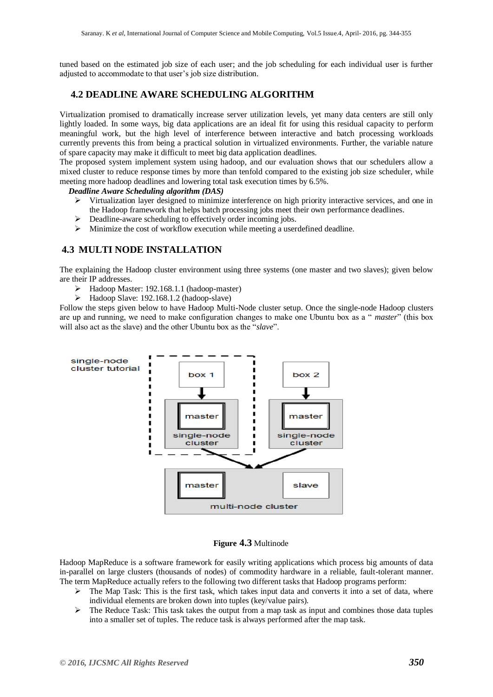tuned based on the estimated job size of each user; and the job scheduling for each individual user is further adjusted to accommodate to that user's job size distribution.

# **4.2 DEADLINE AWARE SCHEDULING ALGORITHM**

Virtualization promised to dramatically increase server utilization levels, yet many data centers are still only lightly loaded. In some ways, big data applications are an ideal fit for using this residual capacity to perform meaningful work, but the high level of interference between interactive and batch processing workloads currently prevents this from being a practical solution in virtualized environments. Further, the variable nature of spare capacity may make it difficult to meet big data application deadlines.

The proposed system implement system using hadoop, and our evaluation shows that our schedulers allow a mixed cluster to reduce response times by more than tenfold compared to the existing job size scheduler, while meeting more hadoop deadlines and lowering total task execution times by 6.5%.

#### *Deadline Aware Scheduling algorithm (DAS)*

- $\triangleright$  Virtualization layer designed to minimize interference on high priority interactive services, and one in the Hadoop framework that helps batch processing jobs meet their own performance deadlines.
- $\triangleright$  Deadline-aware scheduling to effectively order incoming jobs.
- Minimize the cost of workflow execution while meeting a userdefined deadline.

# **4.3 MULTI NODE INSTALLATION**

The explaining the Hadoop cluster environment using three systems (one master and two slaves); given below are their IP addresses.

- Hadoop Master: 192.168.1.1 (hadoop-master)
- Hadoop Slave: 192.168.1.2 (hadoop-slave)

Follow the steps given below to have Hadoop Multi-Node cluster setup. Once the single-node Hadoop clusters are up and running, we need to make configuration changes to make one Ubuntu box as a "*master*" (this box will also act as the slave) and the other Ubuntu box as the "*slave*".



# **Figure 4.3** Multinode

Hadoop MapReduce is a software framework for easily writing applications which process big amounts of data in-parallel on large clusters (thousands of nodes) of commodity hardware in a reliable, fault-tolerant manner. The term MapReduce actually refers to the following two different tasks that Hadoop programs perform:

- $\triangleright$  The Map Task: This is the first task, which takes input data and converts it into a set of data, where individual elements are broken down into tuples (key/value pairs).
- $\triangleright$  The Reduce Task: This task takes the output from a map task as input and combines those data tuples into a smaller set of tuples. The reduce task is always performed after the map task.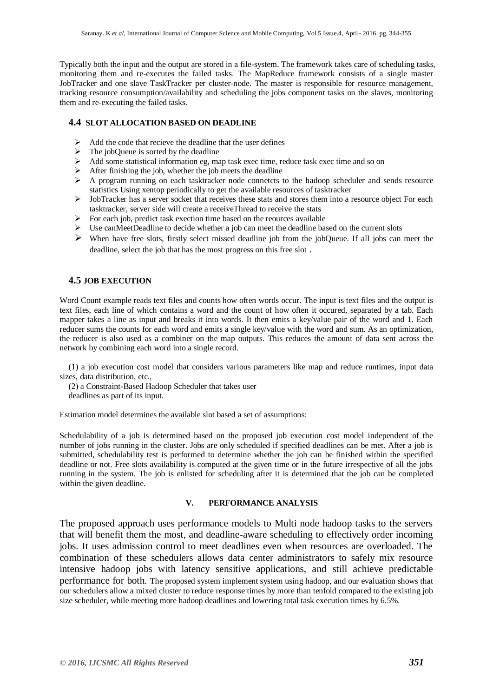Typically both the input and the output are stored in a file-system. The framework takes care of scheduling tasks, monitoring them and re-executes the failed tasks. The MapReduce framework consists of a single master JobTracker and one slave TaskTracker per cluster-node. The master is responsible for resource management, tracking resource consumption/availability and scheduling the jobs component tasks on the slaves, monitoring them and re-executing the failed tasks.

## **4.4 SLOT ALLOCATION BASED ON DEADLINE**

- $\triangleright$  Add the code that recieve the deadline that the user defines
- $\triangleright$  The jobQueue is sorted by the deadline
- > Add some statistical information eg, map task exec time, reduce task exec time and so on
- $\triangleright$  After finishing the job, whether the job meets the deadline
- $\triangleright$  A program running on each tasktracker node connetcts to the hadoop scheduler and sends resource statistics Using xentop periodically to get the available resources of tasktracker
- $\triangleright$  JobTracker has a server socket that receives these stats and stores them into a resource object For each tasktracker, server side will create a receiveThread to receive the stats
- $\triangleright$  For each job, predict task exection time based on the reources available
- $\triangleright$  Use can Meet Deadline to decide whether a job can meet the deadline based on the current slots
- $\triangleright$  When have free slots, firstly select missed deadline job from the jobQueue. If all jobs can meet the deadline, select the job that has the most progress on this free slot .

# **4.5 JOB EXECUTION**

Word Count example reads text files and counts how often words occur. The input is text files and the output is text files, each line of which contains a word and the count of how often it occured, separated by a tab. Each mapper takes a line as input and breaks it into words. It then emits a key/value pair of the word and 1. Each reducer sums the counts for each word and emits a single key/value with the word and sum. As an optimization, the reducer is also used as a combiner on the map outputs. This reduces the amount of data sent across the network by combining each word into a single record.

(1) a job execution cost model that considers various parameters like map and reduce runtimes, input data sizes, data distribution, etc.,

(2) a Constraint-Based Hadoop Scheduler that takes user

deadlines as part of its input.

Estimation model determines the available slot based a set of assumptions:

Schedulability of a job is determined based on the proposed job execution cost model independent of the number of jobs running in the cluster. Jobs are only scheduled if specified deadlines can be met. After a job is submitted, schedulability test is performed to determine whether the job can be finished within the specified deadline or not. Free slots availability is computed at the given time or in the future irrespective of all the jobs running in the system. The job is enlisted for scheduling after it is determined that the job can be completed within the given deadline.

# **V. PERFORMANCE ANALYSIS**

The proposed approach uses performance models to Multi node hadoop tasks to the servers that will benefit them the most, and deadline-aware scheduling to effectively order incoming jobs. It uses admission control to meet deadlines even when resources are overloaded. The combination of these schedulers allows data center administrators to safely mix resource intensive hadoop jobs with latency sensitive applications, and still achieve predictable performance for both. The proposed system implement system using hadoop, and our evaluation shows that our schedulers allow a mixed cluster to reduce response times by more than tenfold compared to the existing job size scheduler, while meeting more hadoop deadlines and lowering total task execution times by 6.5%.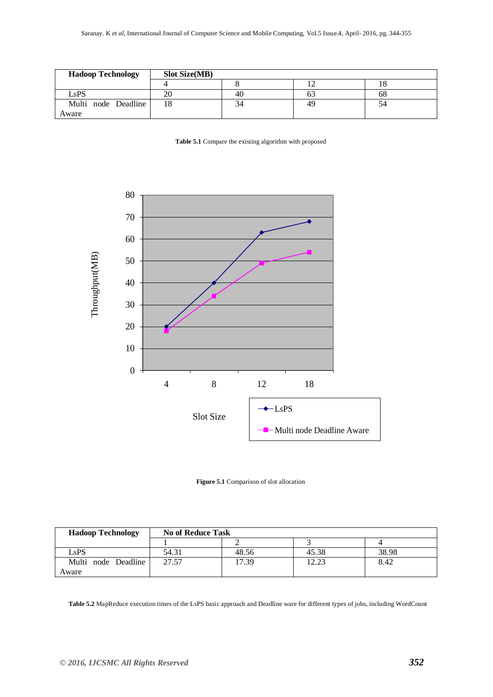| <b>Hadoop Technology</b> | <b>Slot Size(MB)</b> |    |    |    |
|--------------------------|----------------------|----|----|----|
|                          |                      |    |    |    |
| LsPS                     | 20                   | 40 | ΟŹ | 68 |
| Multi node Deadline      | 18                   | 34 | 49 | 54 |
| Aware                    |                      |    |    |    |





**Figure 5.1** Comparison of slot allocation

| <b>Hadoop Technology</b> | <b>No of Reduce Task</b> |       |       |       |  |
|--------------------------|--------------------------|-------|-------|-------|--|
|                          |                          |       |       |       |  |
| LsPS                     | 54.31                    | 48.56 | 45.38 | 38.98 |  |
| Multi node Deadline      | 27.57                    | 17.39 | 12.22 | 8.42  |  |
| Aware                    |                          |       |       |       |  |

**Table 5.2** MapReduce execution times of the LsPS basic approach and Deadline ware for different types of jobs, including WordCount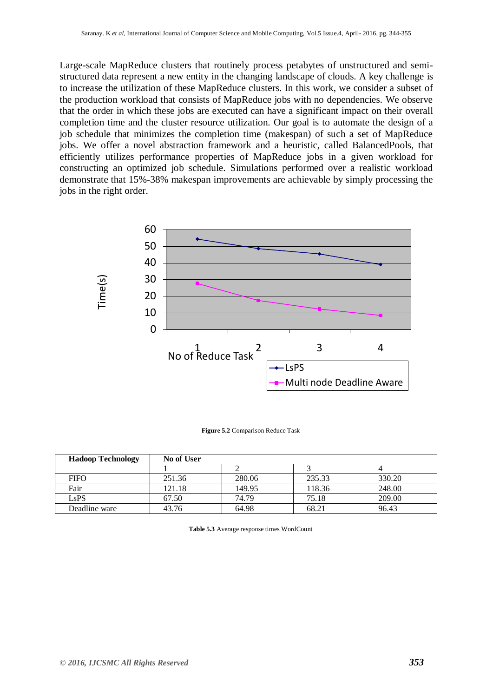Large-scale MapReduce clusters that routinely process petabytes of unstructured and semistructured data represent a new entity in the changing landscape of clouds. A key challenge is to increase the utilization of these MapReduce clusters. In this work, we consider a subset of the production workload that consists of MapReduce jobs with no dependencies. We observe that the order in which these jobs are executed can have a significant impact on their overall completion time and the cluster resource utilization. Our goal is to automate the design of a job schedule that minimizes the completion time (makespan) of such a set of MapReduce jobs. We offer a novel abstraction framework and a heuristic, called BalancedPools, that efficiently utilizes performance properties of MapReduce jobs in a given workload for constructing an optimized job schedule. Simulations performed over a realistic workload demonstrate that 15%-38% makespan improvements are achievable by simply processing the jobs in the right order.



**Figure 5.2** Comparison Reduce Task

| <b>Hadoop Technology</b> | <b>No of User</b> |        |        |        |
|--------------------------|-------------------|--------|--------|--------|
|                          |                   |        |        |        |
| <b>FIFO</b>              | 251.36            | 280.06 | 235.33 | 330.20 |
| Fair                     | 121.18            | 149.95 | 118.36 | 248.00 |
| LsPS                     | 67.50             | 74.79  | 75.18  | 209.00 |
| Deadline ware            | 43.76             | 64.98  | 68.21  | 96.43  |

**Table 5.3** Average response times WordCount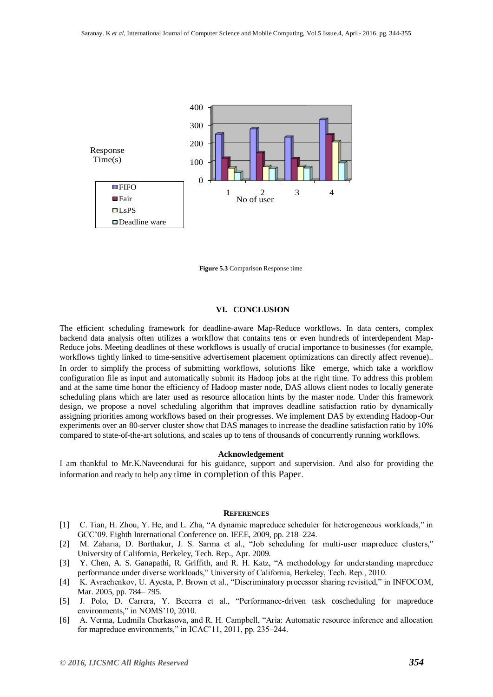

**Figure 5.3** Comparison Response time

#### **VI. CONCLUSION**

The efficient scheduling framework for deadline-aware Map-Reduce workflows. In data centers, complex backend data analysis often utilizes a workflow that contains tens or even hundreds of interdependent Map-Reduce jobs. Meeting deadlines of these workflows is usually of crucial importance to businesses (for example, workflows tightly linked to time-sensitive advertisement placement optimizations can directly affect revenue).. In order to simplify the process of submitting workflows, solutions like emerge, which take a workflow configuration file as input and automatically submit its Hadoop jobs at the right time. To address this problem and at the same time honor the efficiency of Hadoop master node, DAS allows client nodes to locally generate scheduling plans which are later used as resource allocation hints by the master node. Under this framework design, we propose a novel scheduling algorithm that improves deadline satisfaction ratio by dynamically assigning priorities among workflows based on their progresses. We implement DAS by extending Hadoop-Our experiments over an 80-server cluster show that DAS manages to increase the deadline satisfaction ratio by 10% compared to state-of-the-art solutions, and scales up to tens of thousands of concurrently running workflows.

#### **Acknowledgement**

I am thankful to Mr.K.Naveendurai for his guidance, support and supervision. And also for providing the information and ready to help any time in completion of this Paper.

#### **REFERENCES**

- [1] C. Tian, H. Zhou, Y. He, and L. Zha, "A dynamic mapreduce scheduler for heterogeneous workloads," in GCC'09. Eighth International Conference on. IEEE, 2009, pp. 218–224.
- [2] M. Zaharia, D. Borthakur, J. S. Sarma et al., "Job scheduling for multi-user mapreduce clusters," University of California, Berkeley, Tech. Rep., Apr. 2009.
- [3] Y. Chen, A. S. Ganapathi, R. Griffith, and R. H. Katz, "A methodology for understanding mapreduce performance under diverse workloads,‖ University of California, Berkeley, Tech. Rep., 2010.
- [4] K. Avrachenkov, U. Ayesta, P. Brown et al., "Discriminatory processor sharing revisited," in INFOCOM, Mar. 2005, pp. 784– 795.
- [5] J. Polo, D. Carrera, Y. Becerra et al., "Performance-driven task coscheduling for mapreduce environments," in NOMS'10, 2010.
- [6] A. Verma, Ludmila Cherkasova, and R. H. Campbell, "Aria: Automatic resource inference and allocation for mapreduce environments," in  $ICAC'11$ ,  $2011$ , pp. 235–244.